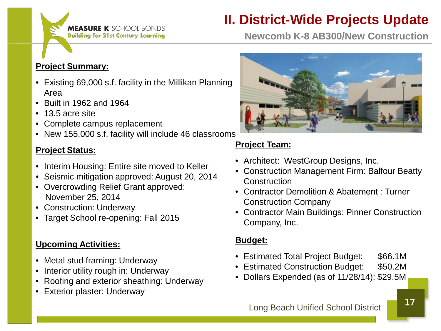## **MEASURE K** SCHOOL BONDS **Building for 21st Century Learning**

# **II. District-Wide Projects Update**

**Newcomb K-8 AB300/New Construction**

### **Project Summary:**

- Existing 69,000 s.f. facility in the Millikan Planning Area
- Built in 1962 and 1964
- 13.5 acre site
- Complete campus replacement
- New 155,000 s.f. facility will include 46 classrooms

#### **Project Status:**

- Interim Housing: Entire site moved to Keller
- Seismic mitigation approved: August 20, 2014
- Overcrowding Relief Grant approved: November 25, 2014
- Construction: Underway
- Target School re-opening: Fall 2015

### **Upcoming Activities:**

- Metal stud framing: Underway
- Interior utility rough in: Underway
- Roofing and exterior sheathing: Underway
- Exterior plaster: Underway



### **Project Team:**

- Architect: WestGroup Designs, Inc.
- Construction Management Firm: Balfour Beatty **Construction**
- Contractor Demolition & Abatement : Turner Construction Company
- Contractor Main Buildings: Pinner Construction Company, Inc.

### **Budget:**

- Estimated Total Project Budget: \$66.1M
- Estimated Construction Budget: \$50.2M
- Dollars Expended (as of 11/28/14): \$29.5M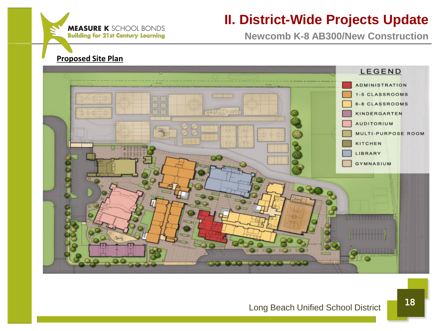## **MEASURE K** SCHOOL BONDS **Building for 21st Century Learning**

# **II. District-Wide Projects Update**

**Newcomb K-8 AB300/New Construction**

#### **Proposed Site Plan**

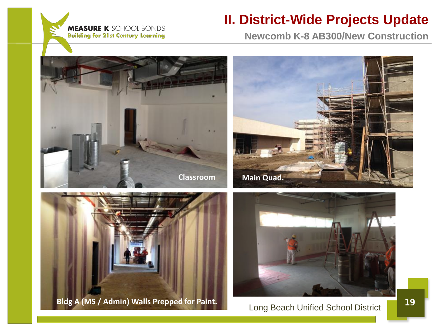

## **II. District-Wide Projects Update**

**Newcomb K-8 AB300/New Construction**









## Long Beach Unified School District 19